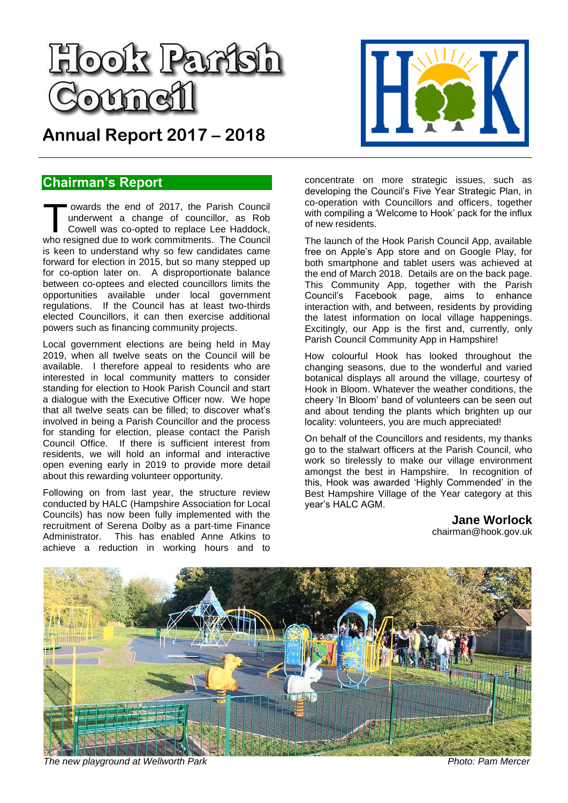

# **Annual Report 2017 – 2018**



## **Chairman's Report**

owards the end of 2017, the Parish Council underwent a change of councillor, as Rob Cowell was co-opted to replace Lee Haddock, wards the end of 2017, the Parish Council underwent a change of councillor, as Rob Cowell was co-opted to replace Lee Haddock, who resigned due to work commitments. The Council is keen to understand why so few candidates came forward for election in 2015, but so many stepped up for co-option later on. A disproportionate balance between co-optees and elected councillors limits the opportunities available under local government regulations. If the Council has at least two-thirds elected Councillors, it can then exercise additional powers such as financing community projects.

Local government elections are being held in May 2019, when all twelve seats on the Council will be available. I therefore appeal to residents who are interested in local community matters to consider standing for election to Hook Parish Council and start a dialogue with the Executive Officer now. We hope that all twelve seats can be filled; to discover what's involved in being a Parish Councillor and the process for standing for election, please contact the Parish Council Office. If there is sufficient interest from residents, we will hold an informal and interactive open evening early in 2019 to provide more detail about this rewarding volunteer opportunity.

Following on from last year, the structure review conducted by HALC (Hampshire Association for Local Councils) has now been fully implemented with the recruitment of Serena Dolby as a part-time Finance This has enabled Anne Atkins to achieve a reduction in working hours and to concentrate on more strategic issues, such as developing the Council's Five Year Strategic Plan, in co-operation with Councillors and officers, together with compiling a 'Welcome to Hook' pack for the influx of new residents.

The launch of the Hook Parish Council App, available free on Apple's App store and on Google Play, for both smartphone and tablet users was achieved at the end of March 2018. Details are on the back page. This Community App, together with the Parish Council's Facebook page, aims to enhance interaction with, and between, residents by providing the latest information on local village happenings. Excitingly, our App is the first and, currently, only Parish Council Community App in Hampshire!

How colourful Hook has looked throughout the changing seasons, due to the wonderful and varied botanical displays all around the village, courtesy of Hook in Bloom. Whatever the weather conditions, the cheery 'In Bloom' band of volunteers can be seen out and about tending the plants which brighten up our locality: volunteers, you are much appreciated!

On behalf of the Councillors and residents, my thanks go to the stalwart officers at the Parish Council, who work so tirelessly to make our village environment amongst the best in Hampshire. In recognition of this, Hook was awarded 'Highly Commended' in the Best Hampshire Village of the Year category at this year's HALC AGM.

### **Jane Worlock**

[chairman@hook.gov.uk](mailto:chairman@hook.gov.uk)



**The new playground at Wellworth Park Photo: Pam Mercer** Photo: Pam Mercer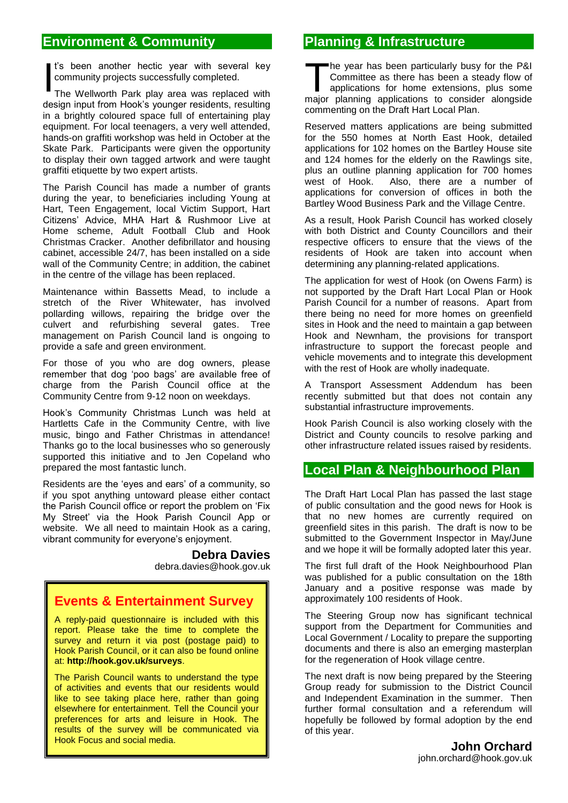## **Environment & Community**

t's been another hectic year with several key community projects successfully completed. t's been another hectic year with several key<br>
community projects successfully completed.<br>
The Wellworth Park play area was replaced with

design input from Hook's younger residents, resulting in a brightly coloured space full of entertaining play equipment. For local teenagers, a very well attended, hands-on graffiti workshop was held in October at the Skate Park. Participants were given the opportunity to display their own tagged artwork and were taught graffiti etiquette by two expert artists.

The Parish Council has made a number of grants during the year, to beneficiaries including Young at Hart, Teen Engagement, local Victim Support, Hart Citizens' Advice, MHA Hart & Rushmoor Live at Home scheme, Adult Football Club and Hook Christmas Cracker. Another defibrillator and housing cabinet, accessible 24/7, has been installed on a side wall of the Community Centre; in addition, the cabinet in the centre of the village has been replaced.

Maintenance within Bassetts Mead, to include a stretch of the River Whitewater, has involved pollarding willows, repairing the bridge over the culvert and refurbishing several gates. Tree management on Parish Council land is ongoing to provide a safe and green environment.

For those of you who are dog owners, please remember that dog 'poo bags' are available free of charge from the Parish Council office at the Community Centre from 9-12 noon on weekdays.

Hook's Community Christmas Lunch was held at Hartletts Cafe in the Community Centre, with live music, bingo and Father Christmas in attendance! Thanks go to the local businesses who so generously supported this initiative and to Jen Copeland who prepared the most fantastic lunch.

Residents are the 'eyes and ears' of a community, so if you spot anything untoward please either contact the Parish Council office or report the problem on 'Fix My Street' via the Hook Parish Council App or website. We all need to maintain Hook as a caring, vibrant community for everyone's enjoyment.

# **Debra Davies**

[debra.davies@hook.gov.uk](mailto:debra.davies@hook.gov.uk)

## **Events & Entertainment Survey**

A reply-paid questionnaire is included with this report. Please take the time to complete the survey and return it via post (postage paid) to Hook Parish Council, or it can also be found online at: **http://hook.gov.uk/surveys**.

The Parish Council wants to understand the type of activities and events that our residents would like to see taking place here, rather than going elsewhere for entertainment. Tell the Council your preferences for arts and leisure in Hook. The results of the survey will be communicated via Hook Focus and social media.

## **Planning & Infrastructure**

he year has been particularly busy for the P&I Committee as there has been a steady flow of applications for home extensions, plus some major planning applications to consider alongside commenting on the Draft Hart Local Plan.

Reserved matters applications are being submitted for the 550 homes at North East Hook, detailed applications for 102 homes on the Bartley House site and 124 homes for the elderly on the Rawlings site, plus an outline planning application for 700 homes west of Hook. Also, there are a number of applications for conversion of offices in both the Bartley Wood Business Park and the Village Centre.

As a result, Hook Parish Council has worked closely with both District and County Councillors and their respective officers to ensure that the views of the residents of Hook are taken into account when determining any planning-related applications.

The application for west of Hook (on Owens Farm) is not supported by the Draft Hart Local Plan or Hook Parish Council for a number of reasons. Apart from there being no need for more homes on greenfield sites in Hook and the need to maintain a gap between Hook and Newnham, the provisions for transport infrastructure to support the forecast people and vehicle movements and to integrate this development with the rest of Hook are wholly inadequate.

A Transport Assessment Addendum has been recently submitted but that does not contain any substantial infrastructure improvements.

Hook Parish Council is also working closely with the District and County councils to resolve parking and other infrastructure related issues raised by residents.

## **Local Plan & Neighbourhood Plan**

The Draft Hart Local Plan has passed the last stage of public consultation and the good news for Hook is that no new homes are currently required on greenfield sites in this parish. The draft is now to be submitted to the Government Inspector in May/June and we hope it will be formally adopted later this year.

The first full draft of the Hook Neighbourhood Plan was published for a public consultation on the 18th January and a positive response was made by approximately 100 residents of Hook.

The Steering Group now has significant technical support from the Department for Communities and Local Government / Locality to prepare the supporting documents and there is also an emerging masterplan for the regeneration of Hook village centre.

The next draft is now being prepared by the Steering Group ready for submission to the District Council and Independent Examination in the summer. Then further formal consultation and a referendum will hopefully be followed by formal adoption by the end of this year.

> **John Orchard** john.orchard@hook.gov.uk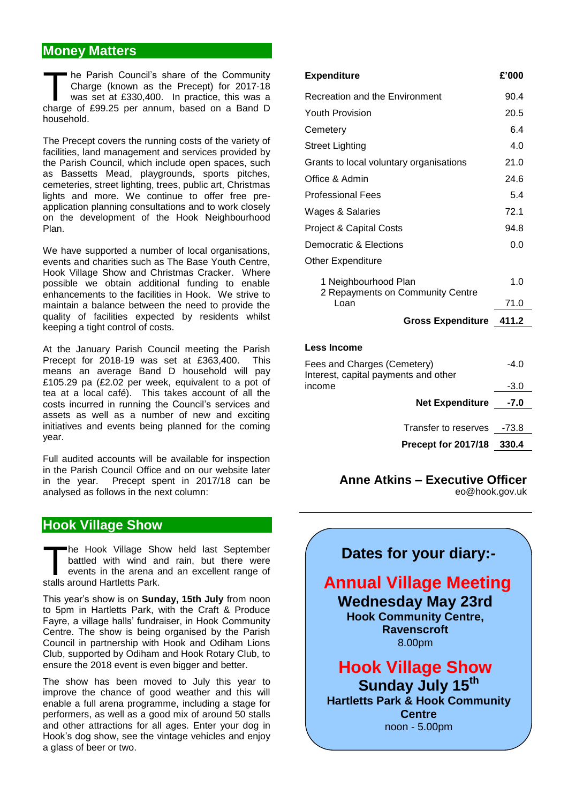## **Money Matters**

he Parish Council's share of the Community Charge (known as the Precept) for 2017-18 was set at £330,400. In practice, this was a The Parish Council's share of the Community<br>Charge (known as the Precept) for 2017-18<br>was set at £330,400. In practice, this was a<br>charge of £99.25 per annum, based on a Band D household.

The Precept covers the running costs of the variety of facilities, land management and services provided by the Parish Council, which include open spaces, such as Bassetts Mead, playgrounds, sports pitches, cemeteries, street lighting, trees, public art, Christmas lights and more. We continue to offer free preapplication planning consultations and to work closely on the development of the Hook Neighbourhood Plan.

We have supported a number of local organisations, events and charities such as The Base Youth Centre, Hook Village Show and Christmas Cracker. Where possible we obtain additional funding to enable enhancements to the facilities in Hook. We strive to maintain a balance between the need to provide the quality of facilities expected by residents whilst keeping a tight control of costs.

At the January Parish Council meeting the Parish Precept for 2018-19 was set at £363,400. This means an average Band D household will pay £105.29 pa (£2.02 per week, equivalent to a pot of tea at a local café). This takes account of all the costs incurred in running the Council's services and assets as well as a number of new and exciting initiatives and events being planned for the coming year.

Full audited accounts will be available for inspection in the Parish Council Office and on our website later in the year. Precept spent in 2017/18 can be analysed as follows in the next column:

## **Hook Village Show**

he Hook Village Show held last September battled with wind and rain, but there were events in the arena and an excellent range of The Hook Village Sh<br>battled with wind a<br>events in the arena a<br>stalls around Hartletts Park.

This year's show is on **Sunday, 15th July** from noon to 5pm in Hartletts Park, with the Craft & Produce Fayre, a village halls' fundraiser, in Hook Community Centre. The show is being organised by the Parish Council in partnership with Hook and Odiham Lions Club, supported by Odiham and Hook Rotary Club, to ensure the 2018 event is even bigger and better.

The show has been moved to July this year to improve the chance of good weather and this will enable a full arena programme, including a stage for performers, as well as a good mix of around 50 stalls and other attractions for all ages. Enter your dog in Hook's dog show, see the vintage vehicles and enjoy a glass of beer or two.

| <b>Expenditure</b>                                       | £'000 |
|----------------------------------------------------------|-------|
| Recreation and the Environment                           | 90.4  |
| <b>Youth Provision</b>                                   | 20.5  |
| Cemetery                                                 | 6.4   |
| <b>Street Lighting</b>                                   | 4.0   |
| Grants to local voluntary organisations                  | 21.0  |
| Office & Admin                                           | 24.6  |
| <b>Professional Fees</b>                                 | 5.4   |
| Wages & Salaries                                         | 72.1  |
| Project & Capital Costs                                  | 94.8  |
| Democratic & Elections                                   | 0.0   |
| <b>Other Expenditure</b>                                 |       |
| 1 Neighbourhood Plan<br>2 Repayments on Community Centre | 1.0   |
| Loan                                                     | 71.0  |
| <b>Gross Expenditure</b>                                 | 411.2 |

#### **Less Income**

| Fees and Charges (Cemetery)<br>Interest, capital payments and other | $-4.0$ |
|---------------------------------------------------------------------|--------|
| income                                                              | $-3.0$ |
| <b>Net Expenditure</b>                                              | -7.0   |
|                                                                     |        |
| Transfer to reserves                                                | -73.8  |
| Precept for 2017/18                                                 | -330.4 |

## **Anne Atkins – Executive Officer**

[eo@hook.gov.uk](mailto:eo@hook.gov.uk)

## **Dates for your diary:-**

**Annual Village Meeting Wednesday May 23rd Hook Community Centre, Ravenscroft** 8.00pm

**Hook Village Show Sunday July 15th Hartletts Park & Hook Community Centre** noon - 5.00pm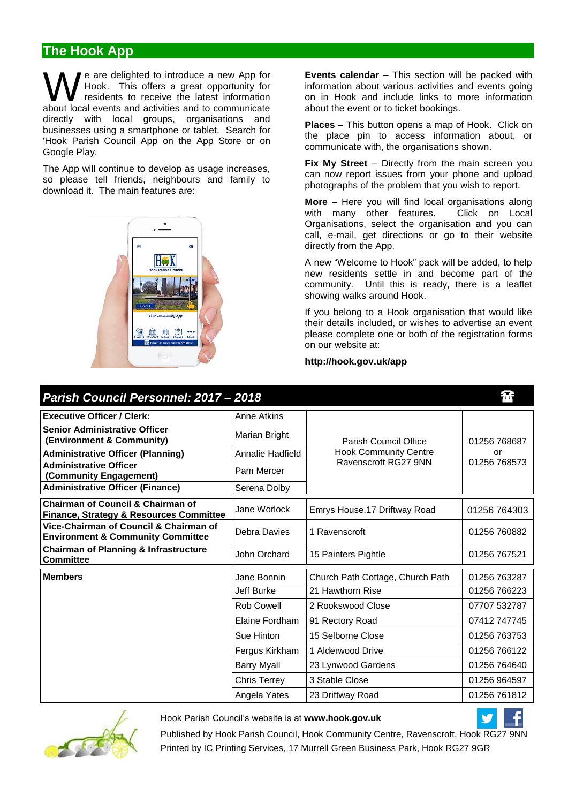## **The Hook App**

e are delighted to introduce a new App for Hook. This offers a great opportunity for residents to receive the latest information We are delighted to introduce a new App for Hook. This offers a great opportunity for residents to receive the latest information about local events and activities and to communicate directly with local groups, organisations and businesses using a smartphone or tablet. Search for 'Hook Parish Council App on the App Store or on Google Play.

The App will continue to develop as usage increases, so please tell friends, neighbours and family to download it. The main features are:



**Events calendar** – This section will be packed with information about various activities and events going on in Hook and include links to more information about the event or to ticket bookings.

**Places** – This button opens a map of Hook. Click on the place pin to access information about, or communicate with, the organisations shown.

**Fix My Street** – Directly from the main screen you can now report issues from your phone and upload photographs of the problem that you wish to report.

**More** – Here you will find local organisations along with many other features. Click on Local Organisations, select the organisation and you can call, e-mail, get directions or go to their website directly from the App.

A new "Welcome to Hook" pack will be added, to help new residents settle in and become part of the community. Until this is ready, there is a leaflet showing walks around Hook.

If you belong to a Hook organisation that would like their details included, or wishes to advertise an event please complete one or both of the registration forms on our website at:

#### **http://hook.gov.uk/app**

| Parish Council Personnel: 2017 - 2018<br>Ħ                                              |                    |                                  |                                    |  |  |
|-----------------------------------------------------------------------------------------|--------------------|----------------------------------|------------------------------------|--|--|
| <b>Executive Officer / Clerk:</b>                                                       | <b>Anne Atkins</b> |                                  |                                    |  |  |
| <b>Senior Administrative Officer</b><br>(Environment & Community)                       | Marian Bright      | Parish Council Office            | 01256 768687<br>or<br>01256 768573 |  |  |
| <b>Administrative Officer (Planning)</b>                                                | Annalie Hadfield   | <b>Hook Community Centre</b>     |                                    |  |  |
| <b>Administrative Officer</b><br>(Community Engagement)                                 | Pam Mercer         | Ravenscroft RG27 9NN             |                                    |  |  |
| <b>Administrative Officer (Finance)</b>                                                 | Serena Dolby       |                                  |                                    |  |  |
| <b>Chairman of Council &amp; Chairman of</b><br>Finance, Strategy & Resources Committee | Jane Worlock       | Emrys House, 17 Driftway Road    | 01256 764303                       |  |  |
| Vice-Chairman of Council & Chairman of<br><b>Environment &amp; Community Committee</b>  | Debra Davies       | 1 Ravenscroft                    | 01256 760882                       |  |  |
| <b>Chairman of Planning &amp; Infrastructure</b><br><b>Committee</b>                    | John Orchard       | 15 Painters Pightle              | 01256 767521                       |  |  |
| <b>Members</b>                                                                          | Jane Bonnin        | Church Path Cottage, Church Path | 01256 763287                       |  |  |
|                                                                                         | Jeff Burke         | 21 Hawthorn Rise                 | 01256 766223                       |  |  |
|                                                                                         | <b>Rob Cowell</b>  | 2 Rookswood Close                | 07707 532787                       |  |  |
|                                                                                         | Elaine Fordham     | 91 Rectory Road                  | 07412 747745                       |  |  |
|                                                                                         | Sue Hinton         | 15 Selborne Close                | 01256 763753                       |  |  |
|                                                                                         | Fergus Kirkham     | 1 Alderwood Drive                | 01256 766122                       |  |  |
|                                                                                         | <b>Barry Myall</b> | 23 Lynwood Gardens               | 01256 764640                       |  |  |
|                                                                                         | Chris Terrey       | 3 Stable Close                   | 01256 964597                       |  |  |
|                                                                                         | Angela Yates       | 23 Driftway Road                 | 01256 761812                       |  |  |



Hook Parish Council's website is at **www.hook.gov.uk**

Published by Hook Parish Council, Hook Community Centre, Ravenscroft, Hook RG27 9NN Printed by IC Printing Services, 17 Murrell Green Business Park, Hook RG27 9GR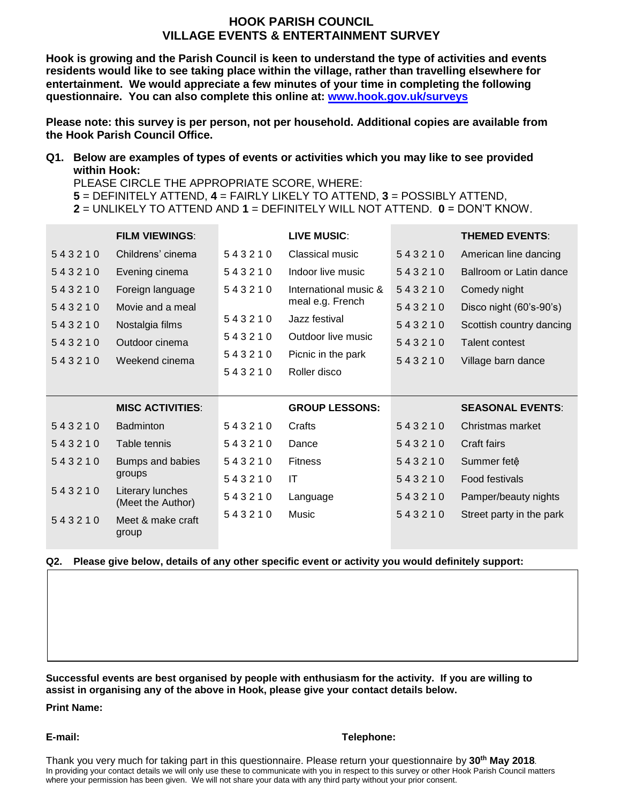## **HOOK PARISH COUNCIL VILLAGE EVENTS & ENTERTAINMENT SURVEY**

**Hook is growing and the Parish Council is keen to understand the type of activities and events residents would like to see taking place within the village, rather than travelling elsewhere for entertainment. We would appreciate a few minutes of your time in completing the following questionnaire. You can also complete this online at: [www.hook.gov.uk/surveys](http://www.hook.gov.uk/surveys)**

**Please note: this survey is per person, not per household. Additional copies are available from the Hook Parish Council Office.**

**Q1. Below are examples of types of events or activities which you may like to see provided within Hook:**

PLEASE CIRCLE THE APPROPRIATE SCORE, WHERE: **5** = DEFINITELY ATTEND, **4** = FAIRLY LIKELY TO ATTEND, **3** = POSSIBLY ATTEND, **2** = UNLIKELY TO ATTEND AND **1** = DEFINITELY WILL NOT ATTEND. **0** = DON'T KNOW.

|        | <b>FILM VIEWINGS:</b> |        | LIVE MUSIC:           |        | <b>THEMED EVENTS:</b>    |
|--------|-----------------------|--------|-----------------------|--------|--------------------------|
| 543210 | Childrens' cinema     | 543210 | Classical music       | 543210 | American line dancing    |
| 543210 | Evening cinema        | 543210 | Indoor live music     | 543210 | Ballroom or Latin dance  |
| 543210 | Foreign language      | 543210 | International music & | 543210 | Comedy night             |
| 543210 | Movie and a meal      |        | meal e.g. French      | 543210 | Disco night (60's-90's)  |
| 543210 | Nostalgia films       | 543210 | Jazz festival         | 543210 | Scottish country dancing |
| 543210 | Outdoor cinema        | 543210 | Outdoor live music    | 543210 | Talent contest           |
| 543210 | Weekend cinema        | 543210 | Picnic in the park    | 543210 | Village barn dance       |
|        |                       | 543210 | Roller disco          |        |                          |
|        |                       |        |                       |        |                          |

|        | <b>MISC ACTIVITIES:</b>               |        | <b>GROUP LESSONS:</b> |        | <b>SEASONAL EVENTS:</b>  |
|--------|---------------------------------------|--------|-----------------------|--------|--------------------------|
| 543210 | <b>Badminton</b>                      | 543210 | Crafts                | 543210 | Christmas market         |
| 543210 | Table tennis                          | 543210 | Dance                 | 543210 | Craft fairs              |
| 543210 | Bumps and babies                      | 543210 | <b>Fitness</b>        | 543210 | Summer fetê              |
|        | groups                                | 543210 | ΙT                    | 543210 | Food festivals           |
| 543210 | Literary lunches<br>(Meet the Author) | 543210 | Language              | 543210 | Pamper/beauty nights     |
| 543210 | Meet & make craft<br>group            | 543210 | <b>Music</b>          | 543210 | Street party in the park |

**Q2. Please give below, details of any other specific event or activity you would definitely support:**

**Successful events are best organised by people with enthusiasm for the activity. If you are willing to assist in organising any of the above in Hook, please give your contact details below.**

**Print Name:**

#### **E-mail: Telephone:**

Thank you very much for taking part in this questionnaire. Please return your questionnaire by **30th May 2018.** In providing your contact details we will only use these to communicate with you in respect to this survey or other Hook Parish Council matters where your permission has been given. We will not share your data with any third party without your prior consent.